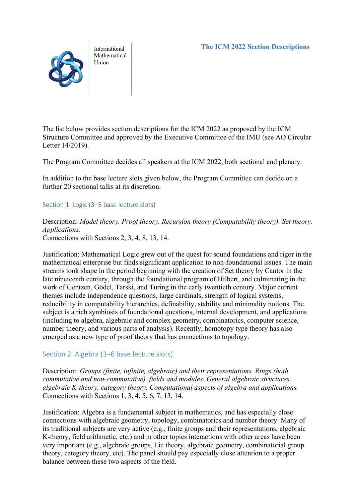International Mathematical Union

The list below provides section descriptions for the ICM 2022 as proposed by the ICM Structure Committee and approved by the Executive Committee of the IMU (see AO Circular Letter 14/2019).

The Program Committee decides all speakers at the ICM 2022, both sectional and plenary.

In addition to the base lecture slots given below, the Program Committee can decide on a further 20 sectional talks at its discretion.

#### Section 1. Logic (3–5 base lecture slots)

Description: *Model theory. Proof theory. Recursion theory (Computability theory). Set theory. Applications.*

Connections with Sections 2, 3, 4, 8, 13, 14.

Justification: Mathematical Logic grew out of the quest for sound foundations and rigor in the mathematical enterprise but finds significant application to non-foundational issues. The main streams took shape in the period beginning with the creation of Set theory by Cantor in the late nineteenth century, through the foundational program of Hilbert, and culminating in the work of Gentzen, Gödel, Tarski, and Turing in the early twentieth century. Major current themes include independence questions, large cardinals, strength of logical systems, reducibility in computability hierarchies, definability, stability and minimality notions. The subject is a rich symbiosis of foundational questions, internal development, and applications (including to algebra, algebraic and complex geometry, combinatorics, computer science, number theory, and various parts of analysis). Recently, homotopy type theory has also emerged as a new type of proof theory that has connections to topology.

#### Section 2. Algebra (3–6 base lecture slots)

Description: *Groups (finite, infinite, algebraic) and their representations. Rings (both commutative and non-commutative), fields and modules. General algebraic structures, algebraic K-theory, category theory. Computational aspects of algebra and applications.* Connections with Sections 1, 3, 4, 5, 6, 7, 13, 14.

Justification: Algebra is a fundamental subject in mathematics, and has especially close connections with algebraic geometry, topology, combinatorics and number theory. Many of its traditional subjects are very active (e.g., finite groups and their representations, algebraic K-theory, field arithmetic, etc.) and in other topics interactions with other areas have been very important (e.g., algebraic groups, Lie theory, algebraic geometry, combinatorial group theory, category theory, etc). The panel should pay especially close attention to a proper balance between these two aspects of the field.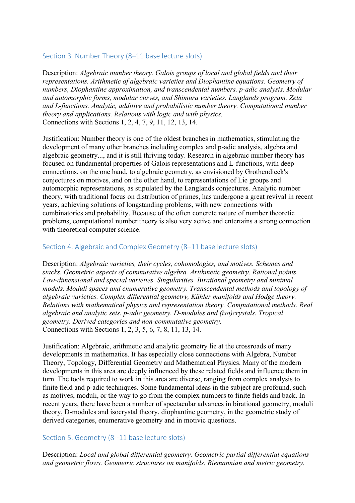## Section 3. Number Theory (8–11 base lecture slots)

Description: *Algebraic number theory. Galois groups of local and global fields and their representations. Arithmetic of algebraic varieties and Diophantine equations. Geometry of numbers, Diophantine approximation, and transcendental numbers. p-adic analysis. Modular and automorphic forms, modular curves, and Shimura varieties. Langlands program. Zeta and L-functions. Analytic, additive and probabilistic number theory. Computational number theory and applications. Relations with logic and with physics.* Connections with Sections 1, 2, 4, 7, 9, 11, 12, 13, 14.

Justification: Number theory is one of the oldest branches in mathematics, stimulating the development of many other branches including complex and p-adic analysis, algebra and algebraic geometry..., and it is still thriving today. Research in algebraic number theory has focused on fundamental properties of Galois representations and L-functions, with deep connections, on the one hand, to algebraic geometry, as envisioned by Grothendieck's conjectures on motives, and on the other hand, to representations of Lie groups and automorphic representations, as stipulated by the Langlands conjectures. Analytic number theory, with traditional focus on distribution of primes, has undergone a great revival in recent years, achieving solutions of longstanding problems, with new connections with combinatorics and probability. Because of the often concrete nature of number theoretic problems, computational number theory is also very active and entertains a strong connection with theoretical computer science.

#### Section 4. Algebraic and Complex Geometry (8–11 base lecture slots)

Description: *Algebraic varieties, their cycles, cohomologies, and motives. Schemes and stacks. Geometric aspects of commutative algebra. Arithmetic geometry. Rational points. Low-dimensional and special varieties. Singularities. Birational geometry and minimal models. Moduli spaces and enumerative geometry. Transcendental methods and topology of algebraic varieties. Complex differential geometry, Kähler manifolds and Hodge theory. Relations with mathematical physics and representation theory. Computational methods. Real algebraic and analytic sets. p-adic geometry. D-modules and (iso)crystals. Tropical geometry. Derived categories and non-commutative geometry.* Connections with Sections 1, 2, 3, 5, 6, 7, 8, 11, 13, 14.

Justification: Algebraic, arithmetic and analytic geometry lie at the crossroads of many developments in mathematics. It has especially close connections with Algebra, Number Theory, Topology, Differential Geometry and Mathematical Physics. Many of the modern developments in this area are deeply influenced by these related fields and influence them in turn. The tools required to work in this area are diverse, ranging from complex analysis to finite field and p-adic techniques. Some fundamental ideas in the subject are profound, such as motives, moduli, or the way to go from the complex numbers to finite fields and back. In recent years, there have been a number of spectacular advances in birational geometry, moduli theory, D-modules and isocrystal theory, diophantine geometry, in the geometric study of derived categories, enumerative geometry and in motivic questions.

#### Section 5. Geometry (8--11 base lecture slots)

Description: *Local and global differential geometry. Geometric partial differential equations and geometric flows. Geometric structures on manifolds. Riemannian and metric geometry.*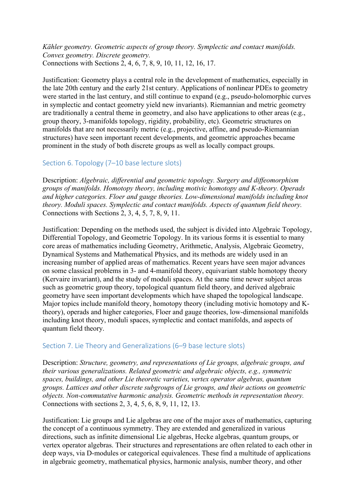*Kähler geometry. Geometric aspects of group theory. Symplectic and contact manifolds. Convex geometry. Discrete geometry.* Connections with Sections 2, 4, 6, 7, 8, 9, 10, 11, 12, 16, 17.

Justification: Geometry plays a central role in the development of mathematics, especially in the late 20th century and the early 21st century. Applications of nonlinear PDEs to geometry were started in the last century, and still continue to expand (e.g., pseudo-holomorphic curves in symplectic and contact geometry yield new invariants). Riemannian and metric geometry are traditionally a central theme in geometry, and also have applications to other areas (e.g., group theory, 3-manifolds topology, rigidity, probability, etc). Geometric structures on manifolds that are not necessarily metric (e.g., projective, affine, and pseudo-Riemannian structures) have seen important recent developments, and geometric approaches became prominent in the study of both discrete groups as well as locally compact groups.

## Section 6. Topology (7–10 base lecture slots)

Description: *Algebraic, differential and geometric topology. Surgery and diffeomorphism groups of manifolds. Homotopy theory, including motivic homotopy and K-theory. Operads and higher categories. Floer and gauge theories. Low-dimensional manifolds including knot theory. Moduli spaces. Symplectic and contact manifolds. Aspects of quantum field theory.* Connections with Sections 2, 3, 4, 5, 7, 8, 9, 11.

Justification: Depending on the methods used, the subject is divided into Algebraic Topology, Differential Topology, and Geometric Topology. In its various forms it is essential to many core areas of mathematics including Geometry, Arithmetic, Analysis, Algebraic Geometry, Dynamical Systems and Mathematical Physics, and its methods are widely used in an increasing number of applied areas of mathematics. Recent years have seen major advances on some classical problems in 3- and 4-manifold theory, equivariant stable homotopy theory (Kervaire invariant), and the study of moduli spaces. At the same time newer subject areas such as geometric group theory, topological quantum field theory, and derived algebraic geometry have seen important developments which have shaped the topological landscape. Major topics include manifold theory, homotopy theory (including motivic homotopy and Ktheory), operads and higher categories, Floer and gauge theories, low-dimensional manifolds including knot theory, moduli spaces, symplectic and contact manifolds, and aspects of quantum field theory.

## Section 7. Lie Theory and Generalizations (6–9 base lecture slots)

Description: *Structure, geometry, and representations of Lie groups, algebraic groups, and their various generalizations. Related geometric and algebraic objects, e.g., symmetric spaces, buildings, and other Lie theoretic varieties, vertex operator algebras, quantum groups. Lattices and other discrete subgroups of Lie groups, and their actions on geometric objects. Non-commutative harmonic analysis. Geometric methods in representation theory.* Connections with sections 2, 3, 4, 5, 6, 8, 9, 11, 12, 13.

Justification: Lie groups and Lie algebras are one of the major axes of mathematics, capturing the concept of a continuous symmetry. They are extended and generalized in various directions, such as infinite dimensional Lie algebras, Hecke algebras, quantum groups, or vertex operator algebras. Their structures and representations are often related to each other in deep ways, via D-modules or categorical equivalences. These find a multitude of applications in algebraic geometry, mathematical physics, harmonic analysis, number theory, and other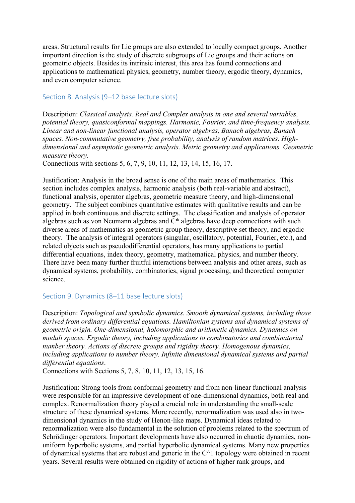areas. Structural results for Lie groups are also extended to locally compact groups. Another important direction is the study of discrete subgroups of Lie groups and their actions on geometric objects. Besides its intrinsic interest, this area has found connections and applications to mathematical physics, geometry, number theory, ergodic theory, dynamics, and even computer science.

#### Section 8. Analysis (9–12 base lecture slots)

Description: *Classical analysis. Real and Complex analysis in one and several variables, potential theory, quasiconformal mappings. Harmonic, Fourier, and time-frequency analysis. Linear and non-linear functional analysis, operator algebras, Banach algebras, Banach spaces. Non-commutative geometry, free probability, analysis of random matrices. Highdimensional and asymptotic geometric analysis. Metric geometry and applications. Geometric measure theory.*

Connections with sections 5, 6, 7, 9, 10, 11, 12, 13, 14, 15, 16, 17.

Justification: Analysis in the broad sense is one of the main areas of mathematics. This section includes complex analysis, harmonic analysis (both real-variable and abstract), functional analysis, operator algebras, geometric measure theory, and high-dimensional geometry. The subject combines quantitative estimates with qualitative results and can be applied in both continuous and discrete settings. The classification and analysis of operator algebras such as von Neumann algebras and C\* algebras have deep connections with such diverse areas of mathematics as geometric group theory, descriptive set theory, and ergodic theory. The analysis of integral operators (singular, oscillatory, potential, Fourier, etc.), and related objects such as pseudodifferential operators, has many applications to partial differential equations, index theory, geometry, mathematical physics, and number theory. There have been many further fruitful interactions between analysis and other areas, such as dynamical systems, probability, combinatorics, signal processing, and theoretical computer science.

## Section 9. Dynamics (8–11 base lecture slots)

Description: *Topological and symbolic dynamics. Smooth dynamical systems, including those derived from ordinary differential equations. Hamiltonian systems and dynamical systems of geometric origin. One-dimensional, holomorphic and arithmetic dynamics. Dynamics on moduli spaces. Ergodic theory, including applications to combinatorics and combinatorial number theory. Actions of discrete groups and rigidity theory. Homogenous dynamics, including applications to number theory. Infinite dimensional dynamical systems and partial differential equations*.

Connections with Sections 5, 7, 8, 10, 11, 12, 13, 15, 16.

Justification: Strong tools from conformal geometry and from non-linear functional analysis were responsible for an impressive development of one-dimensional dynamics, both real and complex. Renormalization theory played a crucial role in understanding the small-scale structure of these dynamical systems. More recently, renormalization was used also in twodimensional dynamics in the study of Henon-like maps. Dynamical ideas related to renormalization were also fundamental in the solution of problems related to the spectrum of Schrödinger operators. Important developments have also occurred in chaotic dynamics, nonuniform hyperbolic systems, and partial hyperbolic dynamical systems. Many new properties of dynamical systems that are robust and generic in the  $C^{\wedge}1$  topology were obtained in recent years. Several results were obtained on rigidity of actions of higher rank groups, and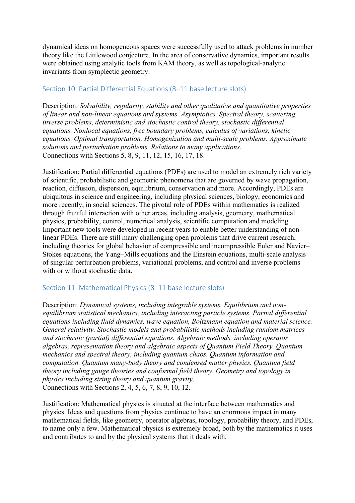dynamical ideas on homogeneous spaces were successfully used to attack problems in number theory like the Littlewood conjecture. In the area of conservative dynamics, important results were obtained using analytic tools from KAM theory, as well as topological-analytic invariants from symplectic geometry.

# Section 10. Partial Differential Equations (8–11 base lecture slots)

Description: *Solvability, regularity, stability and other qualitative and quantitative properties of linear and non-linear equations and systems. Asymptotics. Spectral theory, scattering, inverse problems, deterministic and stochastic control theory, stochastic differential equations. Nonlocal equations, free boundary problems, calculus of variations, kinetic equations. Optimal transportation. Homogenization and multi-scale problems. Approximate solutions and perturbation problems. Relations to many applications.* Connections with Sections 5, 8, 9, 11, 12, 15, 16, 17, 18.

Justification: Partial differential equations (PDEs) are used to model an extremely rich variety of scientific, probabilistic and geometric phenomena that are governed by wave propagation, reaction, diffusion, dispersion, equilibrium, conservation and more. Accordingly, PDEs are ubiquitous in science and engineering, including physical sciences, biology, economics and more recently, in social sciences. The pivotal role of PDEs within mathematics is realized through fruitful interaction with other areas, including analysis, geometry, mathematical physics, probability, control, numerical analysis, scientific computation and modeling. Important new tools were developed in recent years to enable better understanding of nonlinear PDEs. There are still many challenging open problems that drive current research, including theories for global behavior of compressible and incompressible Euler and Navier– Stokes equations, the Yang–Mills equations and the Einstein equations, multi-scale analysis of singular perturbation problems, variational problems, and control and inverse problems with or without stochastic data.

## Section 11. Mathematical Physics (8–11 base lecture slots)

Description: *Dynamical systems, including integrable systems. Equilibrium and nonequilibrium statistical mechanics, including interacting particle systems. Partial differential equations including fluid dynamics, wave equation, Boltzmann equation and material science. General relativity. Stochastic models and probabilistic methods including random matrices and stochastic (partial) differential equations. Algebraic methods, including operator algebras, representation theory and algebraic aspects of Quantum Field Theory. Quantum mechanics and spectral theory, including quantum chaos. Quantum information and computation. Quantum many-body theory and condensed matter physics. Quantum field theory including gauge theories and conformal field theory. Geometry and topology in physics including string theory and quantum gravity*. Connections with Sections 2, 4, 5, 6, 7, 8, 9, 10, 12.

Justification: Mathematical physics is situated at the interface between mathematics and physics. Ideas and questions from physics continue to have an enormous impact in many mathematical fields, like geometry, operator algebras, topology, probability theory, and PDEs, to name only a few. Mathematical physics is extremely broad, both by the mathematics it uses and contributes to and by the physical systems that it deals with.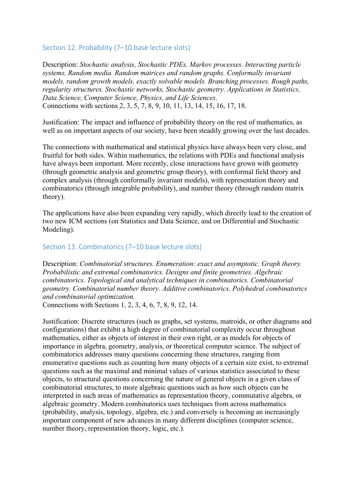## Section 12. Probability (7-10 base lecture slots)

Description: *Stochastic analysis, Stochastic PDEs, Markov processes. Interacting particle systems, Random media. Random matrices and random graphs. Conformally invariant models, random growth models, exactly solvable models. Branching processes. Rough paths, regularity structures. Stochastic networks, Stochastic geometry. Applications in Statistics, Data Science, Computer Science, Physics, and Life Sciences*. Connections with sections 2, 3, 5, 7, 8, 9, 10, 11, 13, 14, 15, 16, 17, 18.

Justification: The impact and influence of probability theory on the rest of mathematics, as well as on important aspects of our society, have been steadily growing over the last decades.

The connections with mathematical and statistical physics have always been very close, and fruitful for both sides. Within mathematics, the relations with PDEs and functional analysis have always been important. More recently, close interactions have grown with geometry (through geometric analysis and geometric group theory), with conformal field theory and complex analysis (through conformally invariant models), with representation theory and combinatorics (through integrable probability), and number theory (through random matrix theory).

The applications have also been expanding very rapidly, which directly lead to the creation of two new ICM sections (on Statistics and Data Science, and on Differential and Stochastic Modeling).

#### Section 13. Combinatorics (7–10 base lecture slots)

Description: *Combinatorial structures. Enumeration: exact and asymptotic. Graph theory. Probabilistic and extremal combinatorics. Designs and finite geometries. Algebraic combinatorics. Topological and analytical techniques in combinatorics. Combinatorial geometry. Combinatorial number theory. Additive combinatorics. Polyhedral combinatorics and combinatorial optimization.*

Connections with Sections 1, 2, 3, 4, 6, 7, 8, 9, 12, 14.

Justification: Discrete structures (such as graphs, set systems, matroids, or other diagrams and configurations) that exhibit a high degree of combinatorial complexity occur throughout mathematics, either as objects of interest in their own right, or as models for objects of importance in algebra, geometry, analysis, or theoretical computer science. The subject of combinatorics addresses many questions concerning these structures, ranging from enumerative questions such as counting how many objects of a certain size exist, to extremal questions such as the maximal and minimal values of various statistics associated to these objects, to structural questions concerning the nature of general objects in a given class of combinatorial structures, to more algebraic questions such as how such objects can be interpreted in such areas of mathematics as representation theory, commutative algebra, or algebraic geometry. Modern combinatorics uses techniques from across mathematics (probability, analysis, topology, algebra, etc.) and conversely is becoming an increasingly important component of new advances in many different disciplines (computer science, number theory, representation theory, logic, etc.).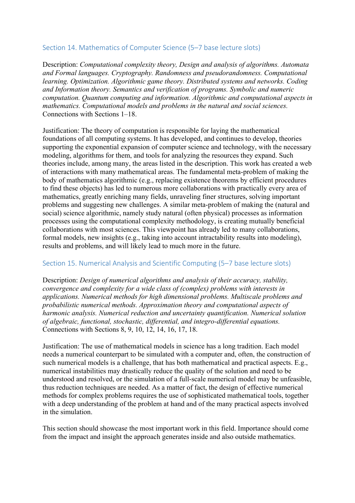# Section 14. Mathematics of Computer Science (5–7 base lecture slots)

Description: *Computational complexity theory, Design and analysis of algorithms. Automata and Formal languages. Cryptography. Randomness and pseudorandomness. Computational learning. Optimization. Algorithmic game theory. Distributed systems and networks. Coding and Information theory. Semantics and verification of programs. Symbolic and numeric computation. Quantum computing and information. Algorithmic and computational aspects in mathematics. Computational models and problems in the natural and social sciences.*  Connections with Sections 1–18.

Justification: The theory of computation is responsible for laying the mathematical foundations of all computing systems. It has developed, and continues to develop, theories supporting the exponential expansion of computer science and technology, with the necessary modeling, algorithms for them, and tools for analyzing the resources they expand. Such theories include, among many, the areas listed in the description. This work has created a web of interactions with many mathematical areas. The fundamental meta-problem of making the body of mathematics algorithmic (e.g., replacing existence theorems by efficient procedures to find these objects) has led to numerous more collaborations with practically every area of mathematics, greatly enriching many fields, unraveling finer structures, solving important problems and suggesting new challenges. A similar meta-problem of making the (natural and social) science algorithmic, namely study natural (often physical) processes as information processes using the computational complexity methodology, is creating mutually beneficial collaborations with most sciences. This viewpoint has already led to many collaborations, formal models, new insights (e.g., taking into account intractability results into modeling), results and problems, and will likely lead to much more in the future.

# Section 15. Numerical Analysis and Scientific Computing (5–7 base lecture slots)

Description: *Design of numerical algorithms and analysis of their accuracy, stability, convergence and complexity for a wide class of (complex) problems with interests in applications. Numerical methods for high dimensional problems. Multiscale problems and probabilistic numerical methods. Approximation theory and computational aspects of harmonic analysis. Numerical reduction and uncertainty quantification. Numerical solution of algebraic, functional, stochastic, differential, and integro-differential equations.* Connections with Sections 8, 9, 10, 12, 14, 16, 17, 18.

Justification: The use of mathematical models in science has a long tradition. Each model needs a numerical counterpart to be simulated with a computer and, often, the construction of such numerical models is a challenge, that has both mathematical and practical aspects. E.g., numerical instabilities may drastically reduce the quality of the solution and need to be understood and resolved, or the simulation of a full-scale numerical model may be unfeasible, thus reduction techniques are needed. As a matter of fact, the design of effective numerical methods for complex problems requires the use of sophisticated mathematical tools, together with a deep understanding of the problem at hand and of the many practical aspects involved in the simulation.

This section should showcase the most important work in this field. Importance should come from the impact and insight the approach generates inside and also outside mathematics.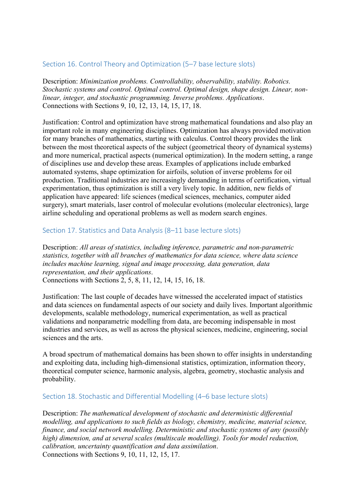# Section 16. Control Theory and Optimization (5–7 base lecture slots)

Description: *Minimization problems. Controllability, observability, stability. Robotics. Stochastic systems and control. Optimal control. Optimal design, shape design. Linear, nonlinear, integer, and stochastic programming. Inverse problems. Applications*. Connections with Sections 9, 10, 12, 13, 14, 15, 17, 18.

Justification: Control and optimization have strong mathematical foundations and also play an important role in many engineering disciplines. Optimization has always provided motivation for many branches of mathematics, starting with calculus. Control theory provides the link between the most theoretical aspects of the subject (geometrical theory of dynamical systems) and more numerical, practical aspects (numerical optimization). In the modern setting, a range of disciplines use and develop these areas. Examples of applications include embarked automated systems, shape optimization for airfoils, solution of inverse problems for oil production. Traditional industries are increasingly demanding in terms of certification, virtual experimentation, thus optimization is still a very lively topic. In addition, new fields of application have appeared: life sciences (medical sciences, mechanics, computer aided surgery), smart materials, laser control of molecular evolutions (molecular electronics), large airline scheduling and operational problems as well as modern search engines.

## Section 17. Statistics and Data Analysis (8–11 base lecture slots)

Description: *All areas of statistics, including inference, parametric and non-parametric statistics, together with all branches of mathematics for data science, where data science includes machine learning, signal and image processing, data generation, data representation, and their applications*. Connections with Sections 2, 5, 8, 11, 12, 14, 15, 16, 18.

Justification: The last couple of decades have witnessed the accelerated impact of statistics and data sciences on fundamental aspects of our society and daily lives. Important algorithmic developments, scalable methodology, numerical experimentation, as well as practical validations and nonparametric modelling from data, are becoming indispensable in most industries and services, as well as across the physical sciences, medicine, engineering, social sciences and the arts.

A broad spectrum of mathematical domains has been shown to offer insights in understanding and exploiting data, including high-dimensional statistics, optimization, information theory, theoretical computer science, harmonic analysis, algebra, geometry, stochastic analysis and probability.

## Section 18. Stochastic and Differential Modelling (4–6 base lecture slots)

Description: *The mathematical development of stochastic and deterministic differential modelling, and applications to such fields as biology, chemistry, medicine, material science, finance, and social network modelling. Deterministic and stochastic systems of any (possibly high) dimension, and at several scales (multiscale modelling). Tools for model reduction, calibration, uncertainty quantification and data assimilation*. Connections with Sections 9, 10, 11, 12, 15, 17.